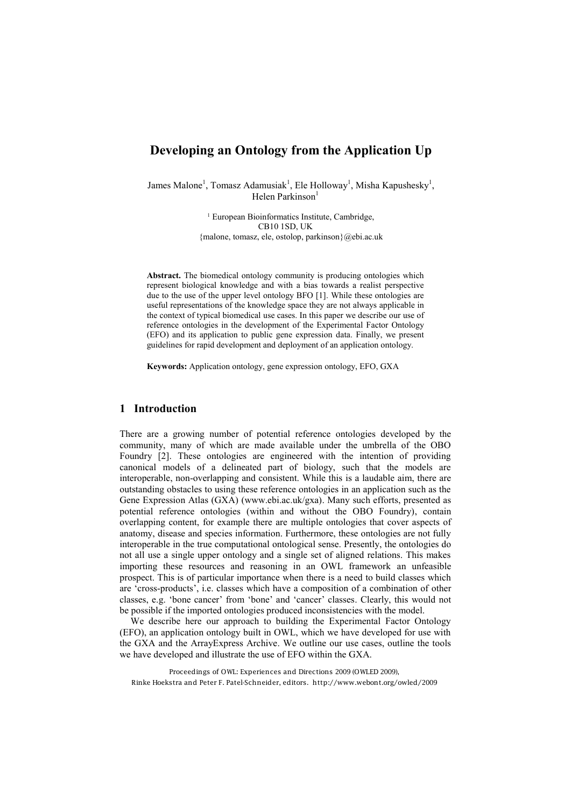# **Developing an Ontology from the Application Up**

James Malone<sup>1</sup>, Tomasz Adamusiak<sup>1</sup>, Ele Holloway<sup>1</sup>, Misha Kapushesky<sup>1</sup>, Helen Parkinson<sup>1</sup>

> <sup>1</sup> European Bioinformatics Institute, Cambridge, **CB10 1SD, UK** {malone, tomasz, ele, ostolop, parkinson}@ebi.ac.uk

Abstract. The biomedical ontology community is producing ontologies which represent biological knowledge and with a bias towards a realist perspective due to the use of the upper level ontology BFO  $[1]$ . While these ontologies are useful representations of the knowledge space they are not always applicable in the context of typical biomedical use cases. In this paper we describe our use of reference ontologies in the development of the Experimental Factor Ontology (EFO) and its application to public gene expression data. Finally, we present guidelines for rapid development and deployment of an application ontology.

Keywords: Application ontology, gene expression ontology, EFO, GXA

### **1** Introduction

There are a growing number of potential reference ontologies developed by the community, many of which are made available under the umbrella of the OBO Foundry [2]. These ontologies are engineered with the intention of providing canonical models of a delineated part of biology, such that the models are interoperable, non-overlapping and consistent. While this is a laudable aim, there are outstanding obstacles to using these reference ontologies in an application such as the Gene Expression Atlas (GXA) (www.ebi.ac.uk/gxa). Many such efforts, presented as potential reference ontologies (within and without the OBO Foundry), contain overlapping content, for example there are multiple ontologies that cover aspects of anatomy, disease and species information. Furthermore, these ontologies are not fully interoperable in the true computational ontological sense. Presently, the ontologies do not all use a single upper ontology and a single set of aligned relations. This makes importing these resources and reasoning in an OWL framework an unfeasible prospect. This is of particular importance when there is a need to build classes which are 'cross-products', i.e. classes which have a composition of a combination of other classes, e.g. 'bone cancer' from 'bone' and 'cancer' classes. Clearly, this would not be possible if the imported ontologies produced inconsistencies with the model.

We describe here our approach to building the Experimental Factor Ontology  $(EFO)$ , an application ontology built in OWL, which we have developed for use with the GXA and the ArrayExpress Archive. We outline our use cases, outline the tools we have developed and illustrate the use of EFO within the GXA.

Proceedings of OWL: Experiences and Directions 2009 (OWLED 2009), Rinke Hoekstra and Peter F. Patel-Schneider, editors. http://www.webont.org/owled/2009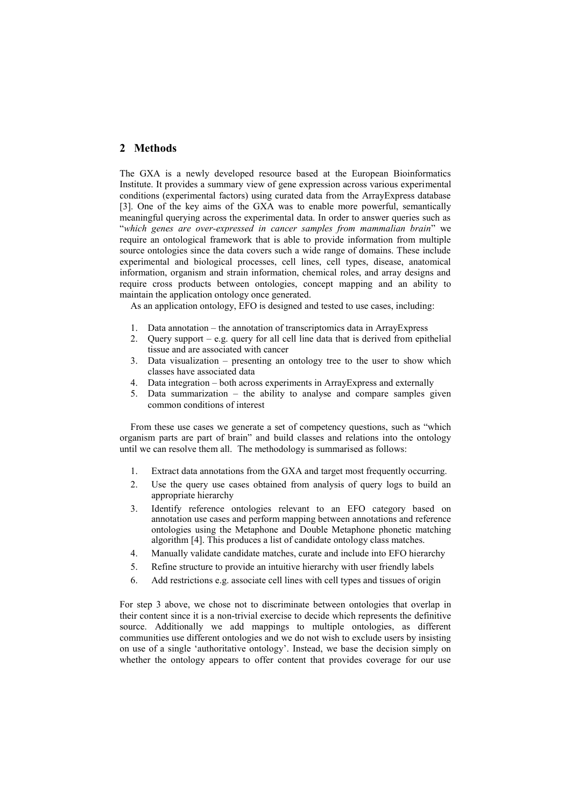### 2 Methods

The GXA is a newly developed resource based at the European Bioinformatics Institute. It provides a summary view of gene expression across various experimental conditions (experimental factors) using curated data from the ArrayExpress database [3]. One of the key aims of the GXA was to enable more powerful, semantically meaningful querying across the experimental data. In order to answer queries such as <sup>*which genes are over-expressed in cancer samples from mammalian brain*<sup>"</sup> we</sup> require an ontological framework that is able to provide information from multiple source ontologies since the data covers such a wide range of domains. These include experimental and biological processes, cell lines, cell types, disease, anatomical information, organism and strain information, chemical roles, and array designs and require cross products between ontologies, concept mapping and an ability to maintain the application ontology once generated.

As an application ontology, EFO is designed and tested to use cases, including:

- 1. Data annotation the annotation of transcriptomics data in ArrayExpress
- 2. Query support  $-e.g.$  query for all cell line data that is derived from epithelial tissue and are associated with cancer
- 3. Data visualization  $-$  presenting an ontology tree to the user to show which classes have associated data
- 4. Data integration both across experiments in ArrayExpress and externally
- 5. Data summarization  $-$  the ability to analyse and compare samples given common conditions of interest

From these use cases we generate a set of competency questions, such as "which organism parts are part of brain" and build classes and relations into the ontology until we can resolve them all. The methodology is summarised as follows:

- 1. Extract data annotations from the GXA and target most frequently occurring.
- 2. Use the query use cases obtained from analysis of query logs to build an appropriate hierarchy
- 3. Identify reference ontologies relevant to an EFO category based on annotation use cases and perform mapping between annotations and reference ontologies using the Metaphone and Double Metaphone phonetic matching algorithm [4]. This produces a list of candidate ontology class matches.
- 4. Manually validate candidate matches, curate and include into EFO hierarchy
- 5. Refine structure to provide an intuitive hierarchy with user friendly labels
- 6. Add restrictions e.g. associate cell lines with cell types and tissues of origin

For step 3 above, we chose not to discriminate between ontologies that overlap in their content since it is a non-trivial exercise to decide which represents the definitive source. Additionally we add mappings to multiple ontologies, as different communities use different ontologies and we do not wish to exclude users by insisting on use of a single 'authoritative ontology'. Instead, we base the decision simply on whether the ontology appears to offer content that provides coverage for our use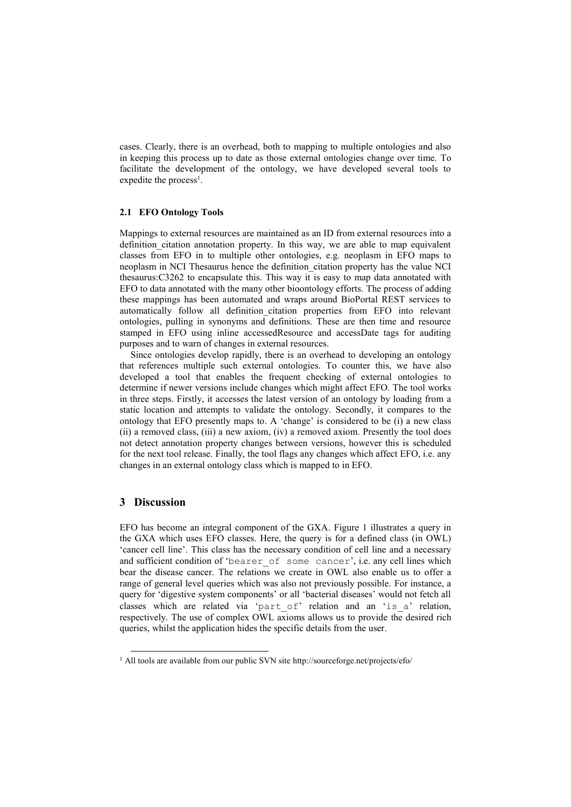cases. Clearly, there is an overhead, both to mapping to multiple ontologies and also in keeping this process up to date as those external ontologies change over time. To facilitate the development of the ontology, we have developed several tools to expedite the process<sup>1</sup>.

#### **2.1 EFO Ontology Tools**

Mappings to external resources are maintained as an ID from external resources into a definition citation annotation property. In this way, we are able to map equivalent classes from EFO in to multiple other ontologies, e.g. neoplasm in EFO maps to neoplasm in NCI Thesaurus hence the definition citation property has the value NCI thesaurus:C3262 to encapsulate this. This way it is easy to map data annotated with EFO to data annotated with the many other bioontology efforts. The process of adding these mappings has been automated and wraps around BioPortal REST services to automatically follow all definition citation properties from EFO into relevant ontologies, pulling in synonyms and definitions. These are then time and resource stamped in EFO using inline accessedResource and accessDate tags for auditing purposes and to warn of changes in external resources.

Since ontologies develop rapidly, there is an overhead to developing an ontology that references multiple such external ontologies. To counter this, we have also developed a tool that enables the frequent checking of external ontologies to determine if newer versions include changes which might affect EFO. The tool works in three steps. Firstly, it accesses the latest version of an ontology by loading from a static location and attempts to validate the ontology. Secondly, it compares to the ontology that EFO presently maps to. A 'change' is considered to be (i) a new class (ii) a removed class, (iii) a new axiom, (iv) a removed axiom. Presently the tool does not detect annotation property changes between versions, however this is scheduled for the next tool release. Finally, the tool flags any changes which affect EFO, i.e. any changes in an external ontology class which is mapped to in EFO.

# **3** Discussion

EFO has become an integral component of the GXA. Figure 1 illustrates a query in the GXA which uses EFO classes. Here, the query is for a defined class (in OWL) 'cancer cell line'. This class has the necessary condition of cell line and a necessary and sufficient condition of 'bearer of some cancer', i.e. any cell lines which bear the disease cancer. The relations we create in OWL also enable us to offer a range of general level queries which was also not previously possible. For instance, a query for 'digestive system components' or all 'bacterial diseases' would not fetch all classes which are related via 'part\_of' relation and an 'is\_a' relation, respectively. The use of complex OWL axioms allows us to provide the desired rich queries, whilst the application hides the specific details from the user.

&&&&&&&&&&&&&&&&&&&&&&&&&&&&&&&&&&&&&&&&&&&&&&&&&&&&&&&&&&

 $1$  All tools are available from our public SVN site http://sourceforge.net/projects/efo/